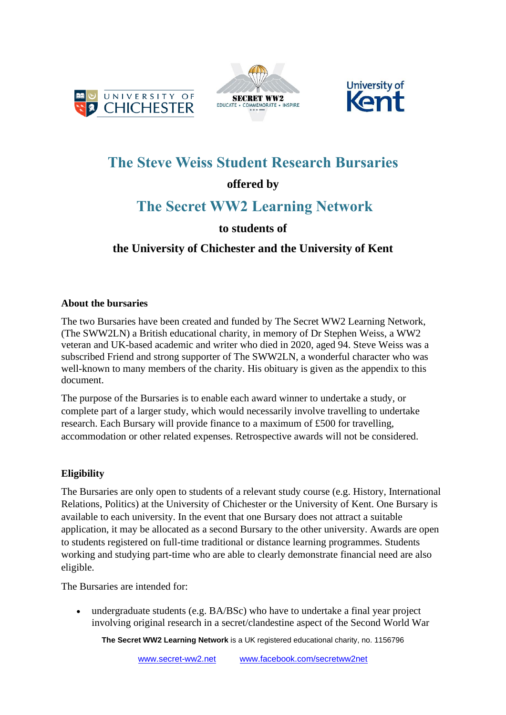





# **The Steve Weiss Student Research Bursaries**

## **offered by**

# **The Secret WW2 Learning Network**

## **to students of**

### **the University of Chichester and the University of Kent**

### **About the bursaries**

The two Bursaries have been created and funded by The Secret WW2 Learning Network, (The SWW2LN) a British educational charity, in memory of Dr Stephen Weiss, a WW2 veteran and UK-based academic and writer who died in 2020, aged 94. Steve Weiss was a subscribed Friend and strong supporter of The SWW2LN, a wonderful character who was well-known to many members of the charity. His obituary is given as the appendix to this document.

The purpose of the Bursaries is to enable each award winner to undertake a study, or complete part of a larger study, which would necessarily involve travelling to undertake research. Each Bursary will provide finance to a maximum of £500 for travelling, accommodation or other related expenses. Retrospective awards will not be considered.

### **Eligibility**

The Bursaries are only open to students of a relevant study course (e.g. History, International Relations, Politics) at the University of Chichester or the University of Kent. One Bursary is available to each university. In the event that one Bursary does not attract a suitable application, it may be allocated as a second Bursary to the other university. Awards are open to students registered on full-time traditional or distance learning programmes. Students working and studying part-time who are able to clearly demonstrate financial need are also eligible.

The Bursaries are intended for:

• undergraduate students (e.g. BA/BSc) who have to undertake a final year project involving original research in a secret/clandestine aspect of the Second World War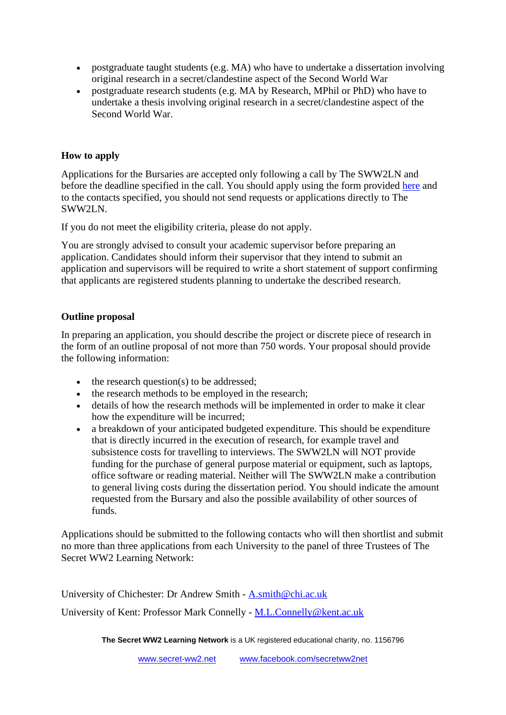- postgraduate taught students (e.g. MA) who have to undertake a dissertation involving original research in a secret/clandestine aspect of the Second World War
- postgraduate research students (e.g. MA by Research, MPhil or PhD) who have to undertake a thesis involving original research in a secret/clandestine aspect of the Second World War.

#### **How to apply**

Applications for the Bursaries are accepted only following a call by The SWW2LN and before the deadline specified in the call. You should apply using the form provided [here](https://www.secret-ww2.net/copy-of-the-steve-weiss-student-resea) and to the contacts specified, you should not send requests or applications directly to The SWW2LN.

If you do not meet the eligibility criteria, please do not apply.

You are strongly advised to consult your academic supervisor before preparing an application. Candidates should inform their supervisor that they intend to submit an application and supervisors will be required to write a short statement of support confirming that applicants are registered students planning to undertake the described research.

#### **Outline proposal**

In preparing an application, you should describe the project or discrete piece of research in the form of an outline proposal of not more than 750 words. Your proposal should provide the following information:

- the research question(s) to be addressed;
- the research methods to be employed in the research;
- details of how the research methods will be implemented in order to make it clear how the expenditure will be incurred;
- a breakdown of your anticipated budgeted expenditure. This should be expenditure that is directly incurred in the execution of research, for example travel and subsistence costs for travelling to interviews. The SWW2LN will NOT provide funding for the purchase of general purpose material or equipment, such as laptops, office software or reading material. Neither will The SWW2LN make a contribution to general living costs during the dissertation period. You should indicate the amount requested from the Bursary and also the possible availability of other sources of funds.

Applications should be submitted to the following contacts who will then shortlist and submit no more than three applications from each University to the panel of three Trustees of The Secret WW2 Learning Network:

University of Chichester: Dr Andrew Smith - [A.smith@chi.ac.uk](mailto:A.smith@chi.ac.uk)

University of Kent: Professor Mark Connelly - [M.L.Connelly@kent.ac.uk](mailto:M.L.Connelly@kent.ac.uk)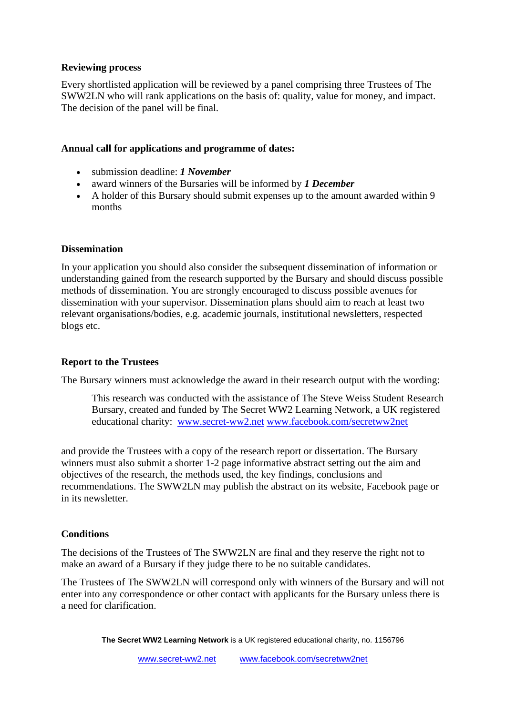#### **Reviewing process**

Every shortlisted application will be reviewed by a panel comprising three Trustees of The SWW2LN who will rank applications on the basis of: quality, value for money, and impact. The decision of the panel will be final.

#### **Annual call for applications and programme of dates:**

- submission deadline: *1 November*
- award winners of the Bursaries will be informed by *1 December*
- A holder of this Bursary should submit expenses up to the amount awarded within 9 months

#### **Dissemination**

In your application you should also consider the subsequent dissemination of information or understanding gained from the research supported by the Bursary and should discuss possible methods of dissemination. You are strongly encouraged to discuss possible avenues for dissemination with your supervisor. Dissemination plans should aim to reach at least two relevant organisations/bodies, e.g. academic journals, institutional newsletters, respected blogs etc.

#### **Report to the Trustees**

The Bursary winners must acknowledge the award in their research output with the wording:

This research was conducted with the assistance of The Steve Weiss Student Research Bursary, created and funded by The Secret WW2 Learning Network, a UK registered educational charity: [www.secret-ww2.net](http://www.secret-ww2.net/) [www.facebook.com/secretww2net](http://www.facebook.com/secretww2net)

and provide the Trustees with a copy of the research report or dissertation. The Bursary winners must also submit a shorter 1-2 page informative abstract setting out the aim and objectives of the research, the methods used, the key findings, conclusions and recommendations. The SWW2LN may publish the abstract on its website, Facebook page or in its newsletter.

#### **Conditions**

The decisions of the Trustees of The SWW2LN are final and they reserve the right not to make an award of a Bursary if they judge there to be no suitable candidates.

The Trustees of The SWW2LN will correspond only with winners of the Bursary and will not enter into any correspondence or other contact with applicants for the Bursary unless there is a need for clarification.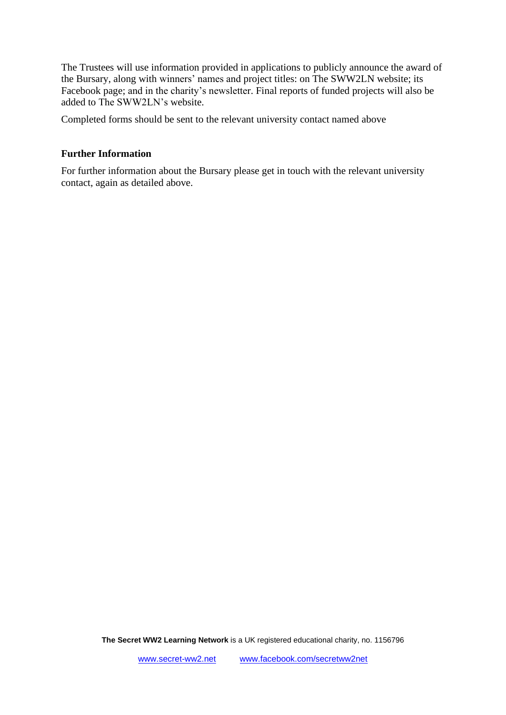The Trustees will use information provided in applications to publicly announce the award of the Bursary, along with winners' names and project titles: on The SWW2LN website; its Facebook page; and in the charity's newsletter. Final reports of funded projects will also be added to The SWW2LN's website.

Completed forms should be sent to the relevant university contact named above

#### **Further Information**

For further information about the Bursary please get in touch with the relevant university contact, again as detailed above.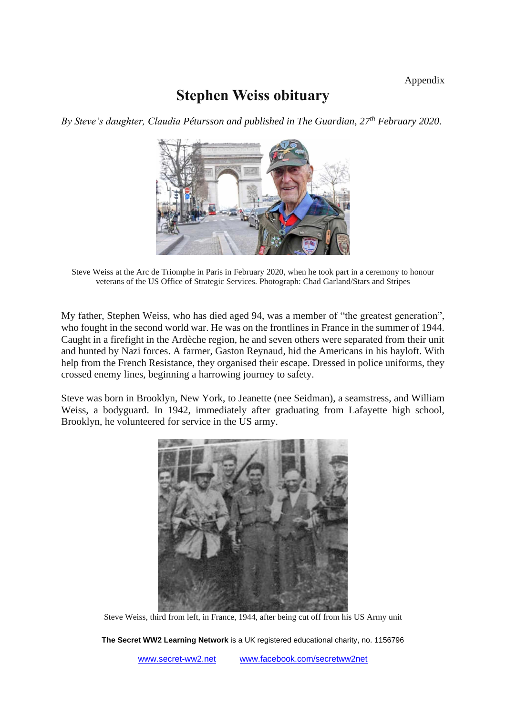## **Stephen Weiss obituary**

*By Steve's daughter, Claudia Pétursson and published in The Guardian, 27th February 2020.*



Steve Weiss at the Arc de Triomphe in Paris in February 2020, when he took part in a ceremony to honour veterans of the US Office of Strategic Services. Photograph: Chad Garland/Stars and Stripes

My father, Stephen Weiss, who has died aged 94, was a member of "the greatest generation", who fought in the second world war. He was on the frontlines in France in the summer of 1944. Caught in a firefight in the Ardèche region, he and seven others were separated from their unit and hunted by Nazi forces. A farmer, Gaston Reynaud, hid the Americans in his hayloft. With help from the French Resistance, they organised their escape. Dressed in police uniforms, they crossed enemy lines, beginning a harrowing journey to safety.

Steve was born in Brooklyn, New York, to Jeanette (nee Seidman), a seamstress, and William Weiss, a bodyguard. In 1942, immediately after graduating from Lafayette high school, Brooklyn, he volunteered for service in the US army.



Steve Weiss, third from left, in France, 1944, after being cut off from his US Army unit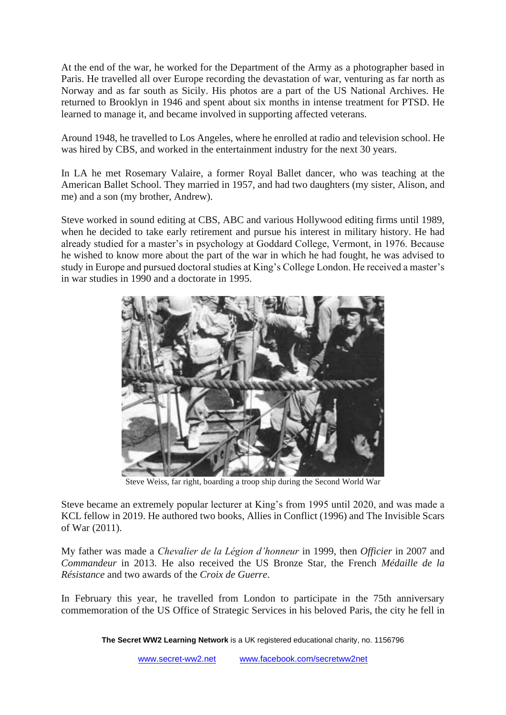At the end of the war, he worked for the Department of the Army as a photographer based in Paris. He travelled all over Europe recording the devastation of war, venturing as far north as Norway and as far south as Sicily. His photos are a part of the US National Archives. He returned to Brooklyn in 1946 and spent about six months in intense treatment for PTSD. He learned to manage it, and became involved in supporting affected veterans.

Around 1948, he travelled to Los Angeles, where he enrolled at radio and television school. He was hired by CBS, and worked in the entertainment industry for the next 30 years.

In LA he met Rosemary Valaire, a former Royal Ballet dancer, who was teaching at the American Ballet School. They married in 1957, and had two daughters (my sister, Alison, and me) and a son (my brother, Andrew).

Steve worked in sound editing at CBS, ABC and various Hollywood editing firms until 1989, when he decided to take early retirement and pursue his interest in military history. He had already studied for a master's in psychology at Goddard College, Vermont, in 1976. Because he wished to know more about the part of the war in which he had fought, he was advised to study in Europe and pursued doctoral studies at King's College London. He received a master's in war studies in 1990 and a doctorate in 1995.



Steve Weiss, far right, boarding a troop ship during the Second World War

Steve became an extremely popular lecturer at King's from 1995 until 2020, and was made a KCL fellow in 2019. He authored two books, Allies in Conflict (1996) and The Invisible Scars of War (2011).

My father was made a *Chevalier de la Légion d'honneur* in 1999, then *Officier* in 2007 and *Commandeur* in 2013. He also received the US Bronze Star, the French *Médaille de la Résistance* and two awards of the *Croix de Guerre*.

In February this year, he travelled from London to participate in the 75th anniversary commemoration of the US Office of Strategic Services in his beloved Paris, the city he fell in